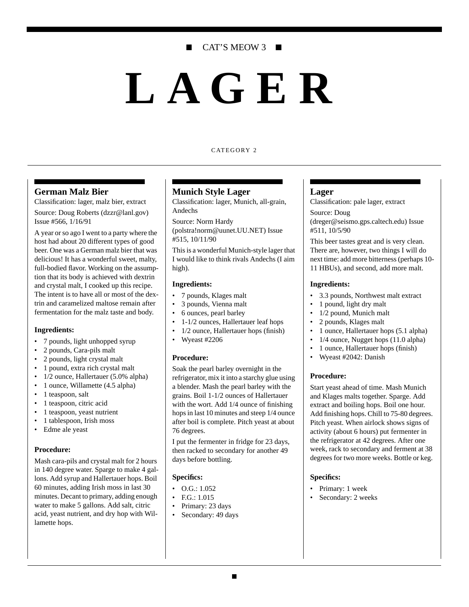# CAT'S MEOW 3 ■

# **LAGER**

#### CATEGORY 2

#### **German Malz Bier**

Classification: lager, malz bier, extract

Source: Doug Roberts (dzzr@lanl.gov) Issue #566, 1/16/91

A year or so ago I went to a party where the host had about 20 different types of good beer. One was a German malz bier that was delicious! It has a wonderful sweet, malty, full-bodied flavor. Working on the assumption that its body is achieved with dextrin and crystal malt, I cooked up this recipe. The intent is to have all or most of the dextrin and caramelized maltose remain after fermentation for the malz taste and body.

#### **Ingredients:**

- 7 pounds, light unhopped syrup
- 2 pounds, Cara-pils malt
- 2 pounds, light crystal malt
- 1 pound, extra rich crystal malt
- 1/2 ounce, Hallertauer (5.0% alpha)
- 1 ounce, Willamette (4.5 alpha)
- 1 teaspoon, salt
- 1 teaspoon, citric acid
- 1 teaspoon, yeast nutrient
- 1 tablespoon, Irish moss
- Edme ale yeast

#### **Procedure:**

Mash cara-pils and crystal malt for 2 hours in 140 degree water. Sparge to make 4 gallons. Add syrup and Hallertauer hops. Boil 60 minutes, adding Irish moss in last 30 minutes. Decant to primary, adding enough water to make 5 gallons. Add salt, citric acid, yeast nutrient, and dry hop with Willamette hops.

#### **Munich Style Lager**

Classification: lager, Munich, all-grain, Andechs

Source: Norm Hardy (polstra!norm@uunet.UU.NET) Issue #515, 10/11/90

This is a wonderful Munich-style lager that I would like to think rivals Andechs (I aim high).

#### **Ingredients:**

- 7 pounds, Klages malt
- 3 pounds, Vienna malt
- 6 ounces, pearl barley
- 1-1/2 ounces, Hallertauer leaf hops
- 1/2 ounce, Hallertauer hops (finish)
- Wyeast #2206

#### **Procedure:**

Soak the pearl barley overnight in the refrigerator, mix it into a starchy glue using a blender. Mash the pearl barley with the grains. Boil 1-1/2 ounces of Hallertauer with the wort. Add 1/4 ounce of finishing hops in last 10 minutes and steep 1/4 ounce after boil is complete. Pitch yeast at about 76 degrees.

I put the fermenter in fridge for 23 days, then racked to secondary for another 49 days before bottling.

#### **Specifics:**

- $\bullet$  O.G.: 1.052
- F.G.: 1.015
- Primary: 23 days
- Secondary: 49 days

#### **Lager**

Classification: pale lager, extract

Source: Doug (dreger@seismo.gps.caltech.edu) Issue #511, 10/5/90

This beer tastes great and is very clean. There are, however, two things I will do next time: add more bitterness (perhaps 10- 11 HBUs), and second, add more malt.

#### **Ingredients:**

- 3.3 pounds, Northwest malt extract
- 1 pound, light dry malt
- 1/2 pound, Munich malt
- 2 pounds, Klages malt
- 1 ounce, Hallertauer hops (5.1 alpha)
- 1/4 ounce, Nugget hops (11.0 alpha)
- 1 ounce, Hallertauer hops (finish)
- Wyeast #2042: Danish

#### **Procedure:**

Start yeast ahead of time. Mash Munich and Klages malts together. Sparge. Add extract and boiling hops. Boil one hour. Add finishing hops. Chill to 75-80 degrees. Pitch yeast. When airlock shows signs of activity (about 6 hours) put fermenter in the refrigerator at 42 degrees. After one week, rack to secondary and ferment at 38 degrees for two more weeks. Bottle or keg.

#### **Specifics:**

- Primary: 1 week
- Secondary: 2 weeks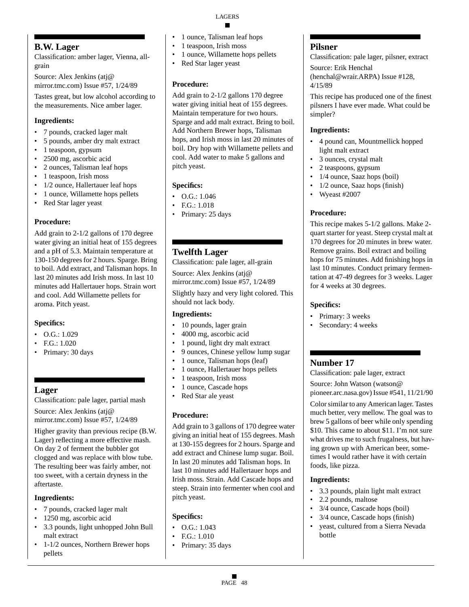# **B.W. Lager**

Classification: amber lager, Vienna, allgrain

Source: Alex Jenkins (atj@ mirror.tmc.com) Issue #57, 1/24/89

Tastes great, but low alcohol according to the measurements. Nice amber lager.

# **Ingredients:**

- 7 pounds, cracked lager malt
- 5 pounds, amber dry malt extract
- 1 teaspoon, gypsum
- 2500 mg, ascorbic acid
- 2 ounces, Talisman leaf hops
- 1 teaspoon, Irish moss
- 1/2 ounce, Hallertauer leaf hops
- 1 ounce, Willamette hops pellets
- Red Star lager yeast

## **Procedure:**

Add grain to 2-1/2 gallons of 170 degree water giving an initial heat of 155 degrees and a pH of 5.3. Maintain temperature at 130-150 degrees for 2 hours. Sparge. Bring to boil. Add extract, and Talisman hops. In last 20 minutes add Irish moss. In last 10 minutes add Hallertauer hops. Strain wort and cool. Add Willamette pellets for aroma. Pitch yeast.

# **Specifics:**

- $\bullet$  O.G.: 1.029
- F.G.: 1.020
- Primary: 30 days

# **Lager**

Classification: pale lager, partial mash

Source: Alex Jenkins (atj@ mirror.tmc.com) Issue #57, 1/24/89

Higher gravity than previous recipe (B.W. Lager) reflecting a more effective mash. On day 2 of ferment the bubbler got clogged and was replace with blow tube. The resulting beer was fairly amber, not too sweet, with a certain dryness in the aftertaste.

# **Ingredients:**

- 7 pounds, cracked lager malt
- 1250 mg, ascorbic acid
- 3.3 pounds, light unhopped John Bull malt extract
- 1-1/2 ounces, Northern Brewer hops pellets
- 1 ounce, Talisman leaf hops
- 1 teaspoon, Irish moss
- 1 ounce, Willamette hops pellets
- Red Star lager yeast

# **Procedure:**

Add grain to 2-1/2 gallons 170 degree water giving initial heat of 155 degrees. Maintain temperature for two hours. Sparge and add malt extract. Bring to boil. Add Northern Brewer hops, Talisman hops, and Irish moss in last 20 minutes of boil. Dry hop with Willamette pellets and cool. Add water to make 5 gallons and pitch yeast.

# **Specifics:**

- $\bullet$  O.G.: 1.046
- F.G.: 1.018
- Primary: 25 days

# **Twelfth Lager**

Classification: pale lager, all-grain

Source: Alex Jenkins (atj@ mirror.tmc.com) Issue #57, 1/24/89

Slightly hazy and very light colored. This should not lack body.

# **Ingredients:**

- 10 pounds, lager grain
- 4000 mg, ascorbic acid
- 1 pound, light dry malt extract
- 9 ounces, Chinese yellow lump sugar
- 1 ounce, Talisman hops (leaf)
- 1 ounce, Hallertauer hops pellets
- 1 teaspoon, Irish moss
- 1 ounce, Cascade hops
- Red Star ale yeast

# **Procedure:**

Add grain to 3 gallons of 170 degree water giving an initial heat of 155 degrees. Mash at 130-155 degrees for 2 hours. Sparge and add extract and Chinese lump sugar. Boil. In last 20 minutes add Talisman hops. In last 10 minutes add Hallertauer hops and Irish moss. Strain. Add Cascade hops and steep. Strain into fermenter when cool and pitch yeast.

# **Specifics:**

- O.G.: 1.043
- F.G.: 1.010
- Primary: 35 days

# **Pilsner**

Classification: pale lager, pilsner, extract Source: Erik Henchal (henchal@wrair.ARPA) Issue #128, 4/15/89

This recipe has produced one of the finest pilsners I have ever made. What could be simpler?

## **Ingredients:**

- 4 pound can, Mountmellick hopped light malt extract
- 3 ounces, crystal malt
- 2 teaspoons, gypsum
- 1/4 ounce, Saaz hops (boil)
- 1/2 ounce, Saaz hops (finish)
- Wyeast #2007

# **Procedure:**

This recipe makes 5-1/2 gallons. Make 2 quart starter for yeast. Steep crystal malt at 170 degrees for 20 minutes in brew water. Remove grains. Boil extract and boiling hops for 75 minutes. Add finishing hops in last 10 minutes. Conduct primary fermentation at 47-49 degrees for 3 weeks. Lager for 4 weeks at 30 degrees.

## **Specifics:**

- Primary: 3 weeks
- Secondary: 4 weeks

# **Number 17**

Classification: pale lager, extract Source: John Watson (watson@ pioneer.arc.nasa.gov) Issue #541, 11/21/90 Color similar to any American lager. Tastes much better, very mellow. The goal was to brew 5 gallons of beer while only spending \$10. This came to about \$11. I'm not sure what drives me to such frugalness, but having grown up with American beer, sometimes I would rather have it with certain foods, like pizza.

# **Ingredients:**

- 3.3 pounds, plain light malt extract
- 2.2 pounds, maltose
- 3/4 ounce, Cascade hops (boil)
- 3/4 ounce, Cascade hops (finish)
- yeast, cultured from a Sierra Nevada bottle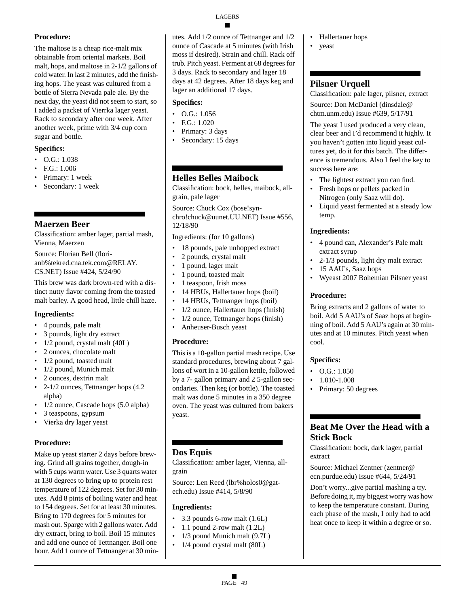The maltose is a cheap rice-malt mix obtainable from oriental markets. Boil malt, hops, and maltose in 2-1/2 gallons of cold water. In last 2 minutes, add the finishing hops. The yeast was cultured from a bottle of Sierra Nevada pale ale. By the next day, the yeast did not seem to start, so I added a packet of Vierrka lager yeast. Rack to secondary after one week. After another week, prime with 3/4 cup corn sugar and bottle.

# **Specifics:**

- $\bullet$  O.G.: 1.038
- F.G.: 1.006
- Primary: 1 week
- Secondary: 1 week

# **Maerzen Beer**

Classification: amber lager, partial mash, Vienna, Maerzen

Source: Florian Bell (florianb%tekred.cna.tek.com@RELAY. CS.NET) Issue #424, 5/24/90

This brew was dark brown-red with a distinct nutty flavor coming from the toasted malt barley. A good head, little chill haze.

# **Ingredients:**

- 4 pounds, pale malt
- 3 pounds, light dry extract
- $1/2$  pound, crystal malt  $(40L)$
- 2 ounces, chocolate malt
- 1/2 pound, toasted malt
- 1/2 pound, Munich malt
- 2 ounces, dextrin malt
- 2-1/2 ounces, Tettnanger hops (4.2 alpha)
- 1/2 ounce, Cascade hops (5.0 alpha)
- 3 teaspoons, gypsum
- Vierka dry lager yeast

# **Procedure:**

Make up yeast starter 2 days before brewing. Grind all grains together, dough-in with 5 cups warm water. Use 3 quarts water at 130 degrees to bring up to protein rest temperature of 122 degrees. Set for 30 minutes. Add 8 pints of boiling water and heat to 154 degrees. Set for at least 30 minutes. Bring to 170 degrees for 5 minutes for mash out. Sparge with 2 gallons water. Add dry extract, bring to boil. Boil 15 minutes and add one ounce of Tettnanger. Boil one hour. Add 1 ounce of Tettnanger at 30 minutes. Add 1/2 ounce of Tettnanger and 1/2 ounce of Cascade at 5 minutes (with Irish moss if desired). Strain and chill. Rack off trub. Pitch yeast. Ferment at 68 degrees for 3 days. Rack to secondary and lager 18 days at 42 degrees. After 18 days keg and lager an additional 17 days.

# **Specifics:**

- $\bullet$  O.G.: 1.056
- F.G.: 1.020
- Primary: 3 days
- Secondary: 15 days

# **Helles Belles Maibock**

Classification: bock, helles, maibock, allgrain, pale lager

Source: Chuck Cox (bose!synchro!chuck@uunet.UU.NET) Issue #556, 12/18/90

Ingredients: (for 10 gallons)

- 18 pounds, pale unhopped extract
- 2 pounds, crystal malt
- 1 pound, lager malt
- 1 pound, toasted malt
- 1 teaspoon, Irish moss
- 14 HBUs, Hallertauer hops (boil)
- 14 HBUs, Tettnanger hops (boil)
- 1/2 ounce, Hallertauer hops (finish)
- 1/2 ounce, Tettnanger hops (finish)
- Anheuser-Busch yeast

#### **Procedure:**

This is a 10-gallon partial mash recipe. Use standard procedures, brewing about 7 gallons of wort in a 10-gallon kettle, followed by a 7- gallon primary and 2 5-gallon secondaries. Then keg (or bottle). The toasted malt was done 5 minutes in a 350 degree oven. The yeast was cultured from bakers yeast.

# **Dos Equis**

Classification: amber lager, Vienna, allgrain

Source: Len Reed (lbr%holos0@gatech.edu) Issue #414, 5/8/90

#### **Ingredients:**

- 3.3 pounds 6-row malt (1.6L)
- 1.1 pound 2-row malt (1.2L)
- 1/3 pound Munich malt (9.7L)
- 1/4 pound crystal malt (80L)
- Hallertauer hops
- yeast

# **Pilsner Urquell**

Classification: pale lager, pilsner, extract Source: Don McDaniel (dinsdale@ chtm.unm.edu) Issue #639, 5/17/91

The yeast I used produced a very clean, clear beer and I'd recommend it highly. It you haven't gotten into liquid yeast cultures yet, do it for this batch. The difference is tremendous. Also I feel the key to success here are:

- The lightest extract you can find. • Fresh hops or pellets packed in
- Nitrogen (only Saaz will do).
- Liquid yeast fermented at a steady low temp.

## **Ingredients:**

- 4 pound can, Alexander's Pale malt extract syrup
- 2-1/3 pounds, light dry malt extract
- 15 AAU's, Saaz hops
- Wyeast 2007 Bohemian Pilsner yeast

## **Procedure:**

Bring extracts and 2 gallons of water to boil. Add 5 AAU's of Saaz hops at beginning of boil. Add 5 AAU's again at 30 minutes and at 10 minutes. Pitch yeast when cool.

# **Specifics:**

- $\bullet$  O.G.: 1.050
- 1.010-1.008
- Primary: 50 degrees

# **Beat Me Over the Head with a Stick Bock**

Classification: bock, dark lager, partial extract

Source: Michael Zentner (zentner@ ecn.purdue.edu) Issue #644, 5/24/91

Don't worry...give partial mashing a try. Before doing it, my biggest worry was how to keep the temperature constant. During each phase of the mash, I only had to add heat once to keep it within a degree or so.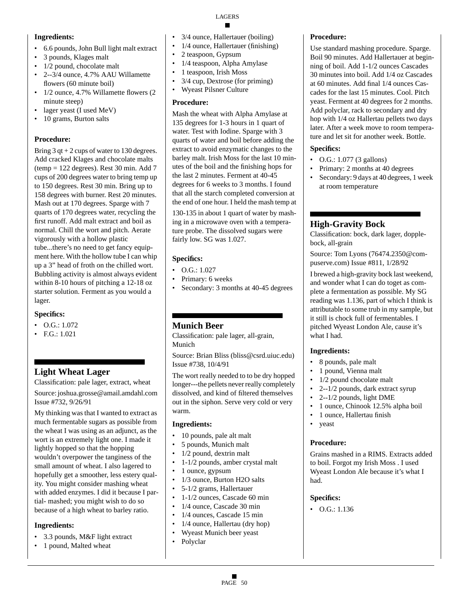## **Ingredients:**

- 6.6 pounds, John Bull light malt extract
- 3 pounds, Klages malt
- 1/2 pound, chocolate malt
- 2--3/4 ounce, 4.7% AAU Willamette flowers (60 minute boil)
- 1/2 ounce, 4.7% Willamette flowers (2) minute steep)
- lager yeast (I used MeV)
- 10 grams, Burton salts

# **Procedure:**

Bring 3 qt + 2 cups of water to 130 degrees. Add cracked Klages and chocolate malts (temp = 122 degrees). Rest 30 min. Add 7 cups of 200 degrees water to bring temp up to 150 degrees. Rest 30 min. Bring up to 158 degrees with burner. Rest 20 minutes. Mash out at 170 degrees. Sparge with 7 quarts of 170 degrees water, recycling the first runoff. Add malt extract and boil as normal. Chill the wort and pitch. Aerate vigorously with a hollow plastic tube...there's no need to get fancy equipment here. With the hollow tube I can whip up a 3" head of froth on the chilled wort. Bubbling activity is almost always evident within 8-10 hours of pitching a 12-18 oz starter solution. Ferment as you would a lager.

# **Specifics:**

- $\bullet$  O.G.: 1.072
- F.G.: 1.021

# **Light Wheat Lager**

Classification: pale lager, extract, wheat Source: joshua.grosse@amail.amdahl.com Issue #732, 9/26/91

My thinking was that I wanted to extract as much fermentable sugars as possible from the wheat I was using as an adjunct, as the wort is an extremely light one. I made it lightly hopped so that the hopping wouldn't overpower the tanginess of the small amount of wheat. I also lagered to hopefully get a smoother, less estery quality. You might consider mashing wheat with added enzymes. I did it because I partial- mashed; you might wish to do so because of a high wheat to barley ratio.

# **Ingredients:**

- 3.3 pounds, M&F light extract
- 1 pound, Malted wheat
- 3/4 ounce, Hallertauer (boiling)
- 1/4 ounce, Hallertauer (finishing)
- 2 teaspoon, Gypsum
- 1/4 teaspoon, Alpha Amylase
- 1 teaspoon, Irish Moss
- 3/4 cup, Dextrose (for priming)
- Wyeast Pilsner Culture

# **Procedure:**

Mash the wheat with Alpha Amylase at 135 degrees for 1-3 hours in 1 quart of water. Test with Iodine. Sparge with 3 quarts of water and boil before adding the extract to avoid enzymatic changes to the barley malt. Irish Moss for the last 10 minutes of the boil and the finishing hops for the last 2 minutes. Ferment at 40-45 degrees for 6 weeks to 3 months. I found that all the starch completed conversion at the end of one hour. I held the mash temp at

130-135 in about 1 quart of water by mashing in a microwave oven with a temperature probe. The dissolved sugars were fairly low. SG was 1.027.

# **Specifics:**

- O.G.: 1.027
- Primary: 6 weeks
- Secondary: 3 months at 40-45 degrees

# **Munich Beer**

Classification: pale lager, all-grain, Munich

Source: Brian Bliss (bliss@csrd.uiuc.edu) Issue #738, 10/4/91

The wort really needed to to be dry hopped longer---the pellets never really completely dissolved, and kind of filtered themselves out in the siphon. Serve very cold or very warm.

# **Ingredients:**

- 10 pounds, pale alt malt
- 5 pounds, Munich malt
- 1/2 pound, dextrin malt
- 1-1/2 pounds, amber crystal malt
- 1 ounce, gypsum
- 1/3 ounce, Burton H2O salts
- 5-1/2 grams, Hallertauer
- 1-1/2 ounces, Cascade 60 min
- 1/4 ounce, Cascade 30 min
- 1/4 ounces, Cascade 15 min
- 1/4 ounce, Hallertau (dry hop)
- Wyeast Munich beer yeast
- Polyclar

# **Procedure:**

Use standard mashing procedure. Sparge. Boil 90 minutes. Add Hallertauer at beginning of boil. Add 1-1/2 ounces Cascades 30 minutes into boil. Add 1/4 oz Cascades at 60 minutes. Add final 1/4 ounces Cascades for the last 15 minutes. Cool. Pitch yeast. Ferment at 40 degrees for 2 months. Add polyclar, rack to secondary and dry hop with 1/4 oz Hallertau pellets two days later. After a week move to room temperature and let sit for another week. Bottle.

## **Specifics:**

- O.G.: 1.077 (3 gallons)
- Primary: 2 months at 40 degrees
- Secondary: 9 days at 40 degrees, 1 week at room temperature

# **High-Gravity Bock**

Classification: bock, dark lager, dopplebock, all-grain

Source: Tom Lyons (76474.2350@compuserve.com) Issue #811, 1/28/92

I brewed a high-gravity bock last weekend, and wonder what I can do toget as complete a fermentation as possible. My SG reading was 1.136, part of which I think is attributable to some trub in my sample, but it still is chock full of fermentables. I pitched Wyeast London Ale, cause it's what I had.

# **Ingredients:**

- 8 pounds, pale malt
- 1 pound, Vienna malt
- 1/2 pound chocolate malt
- 2--1/2 pounds, dark extract syrup
- 2--1/2 pounds, light DME
- 1 ounce, Chinook 12.5% alpha boil
- 1 ounce, Hallertau finish
- yeast

# **Procedure:**

Grains mashed in a RIMS. Extracts added to boil. Forgot my Irish Moss . I used Wyeast London Ale because it's what I had.

## **Specifics:**

• O.G.: 1.136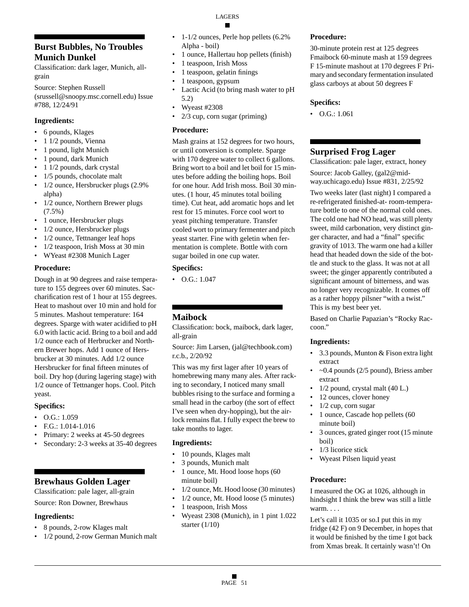# **Burst Bubbles, No Troubles Munich Dunkel**

Classification: dark lager, Munich, allgrain

Source: Stephen Russell

(srussell@snoopy.msc.cornell.edu) Issue #788, 12/24/91

## **Ingredients:**

- 6 pounds, Klages
- 1 1/2 pounds, Vienna
- 1 pound, light Munich
- 1 pound, dark Munich
- 1 1/2 pounds, dark crystal
- 1/5 pounds, chocolate malt
- 1/2 ounce, Hersbrucker plugs (2.9%) alpha)
- 1/2 ounce, Northern Brewer plugs (7.5%)
- 1 ounce, Hersbrucker plugs
- 1/2 ounce, Hersbrucker plugs
- 1/2 ounce, Tettnanger leaf hops
- 1/2 teaspoon, Irish Moss at 30 min
- WYeast #2308 Munich Lager

#### **Procedure:**

Dough in at 90 degrees and raise temperature to 155 degrees over 60 minutes. Saccharification rest of 1 hour at 155 degrees. Heat to mashout over 10 min and hold for 5 minutes. Mashout temperature: 164 degrees. Sparge with water acidified to pH 6.0 with lactic acid. Bring to a boil and add 1/2 ounce each of Herbrucker and Northern Brewer hops. Add 1 ounce of Hersbrucker at 30 minutes. Add 1/2 ounce Hersbrucker for final fifteen minutes of boil. Dry hop (during lagering stage) with 1/2 ounce of Tettnanger hops. Cool. Pitch yeast.

#### **Specifics:**

- $\bullet$  O.G.: 1.059
- F.G.: 1.014-1.016
- Primary: 2 weeks at 45-50 degrees
- Secondary: 2-3 weeks at 35-40 degrees

# **Brewhaus Golden Lager**

Classification: pale lager, all-grain

Source: Ron Downer, Brewhaus

#### **Ingredients:**

- 8 pounds, 2-row Klages malt
- 1/2 pound, 2-row German Munich malt
- 1-1/2 ounces, Perle hop pellets (6.2%) Alpha - boil)
- 1 ounce, Hallertau hop pellets (finish)
- 1 teaspoon, Irish Moss
- 1 teaspoon, gelatin finings
- 1 teaspoon, gypsum
- Lactic Acid (to bring mash water to pH 5.2)
- Wyeast #2308
- 2/3 cup, corn sugar (priming)

#### **Procedure:**

Mash grains at 152 degrees for two hours, or until conversion is complete. Sparge with 170 degree water to collect 6 gallons. Bring wort to a boil and let boil for 15 minutes before adding the boiling hops. Boil for one hour. Add Irish moss. Boil 30 minutes. (1 hour, 45 minutes total boiling time). Cut heat, add aromatic hops and let rest for 15 minutes. Force cool wort to yeast pitching temperature. Transfer cooled wort to primary fermenter and pitch yeast starter. Fine with geletin when fermentation is complete. Bottle with corn sugar boiled in one cup water.

## **Specifics:**

• O.G.: 1.047

# **Maibock**

Classification: bock, maibock, dark lager, all-grain

Source: Jim Larsen, (jal@techbook.com) r.c.b., 2/20/92

This was my first lager after 10 years of homebrewing many many ales. After racking to secondary, I noticed many small bubbles rising to the surface and forming a small head in the carboy (the sort of effect I've seen when dry-hopping), but the airlock remains flat. I fully expect the brew to take months to lager.

#### **Ingredients:**

- 10 pounds, Klages malt
- 3 pounds, Munich malt
- 1 ounce, Mt. Hood loose hops (60 minute boil)
- 1/2 ounce, Mt. Hood loose (30 minutes)
- 1/2 ounce, Mt. Hood loose (5 minutes)
- 1 teaspoon, Irish Moss
- Wyeast 2308 (Munich), in 1 pint 1.022 starter (1/10)

#### **Procedure:**

30-minute protein rest at 125 degrees Fmaibock 60-minute mash at 159 degrees F 15-minute mashout at 170 degrees F Primary and secondary fermentation insulated glass carboys at about 50 degrees F

#### **Specifics:**

 $\bullet$  O.G.: 1.061

# **Surprised Frog Lager**

Classification: pale lager, extract, honey Source: Jacob Galley, (gal2@midway.uchicago.edu) Issue #831, 2/25/92

Two weeks later (last night) I compared a re-refrigerated finished-at- room-temperature bottle to one of the normal cold ones. The cold one had NO head, was still plenty sweet, mild carbonation, very distinct ginger character, and had a "final" specific gravity of 1013. The warm one had a killer head that headed down the side of the bottle and stuck to the glass. It was not at all sweet; the ginger apparently contributed a significant amount of bitterness, and was no longer very recognizable. It comes off as a rather hoppy pilsner "with a twist." This is my best beer yet.

Based on Charlie Papazian's "Rocky Raccoon."

#### **Ingredients:**

- 3.3 pounds, Munton & Fison extra light extract
- $\sim$ 0.4 pounds (2/5 pound), Briess amber extract
- $1/2$  pound, crystal malt  $(40 L.)$
- 12 ounces, clover honey
- $1/2$  cup, corn sugar
- 1 ounce, Cascade hop pellets (60 minute boil)
- 3 ounces, grated ginger root (15 minute boil)
- 1/3 licorice stick
- Wyeast Pilsen liquid yeast

#### **Procedure:**

I measured the OG at 1026, although in hindsight I think the brew was still a little warm...

Let's call it 1035 or so.I put this in my fridge (42 F) on 9 December, in hopes that it would be finished by the time I got back from Xmas break. It certainly wasn't! On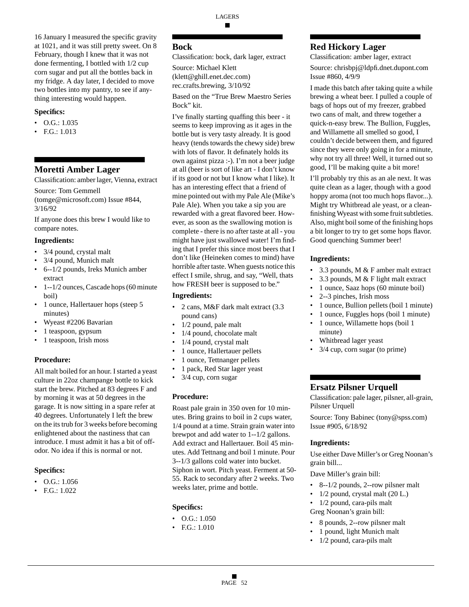16 January I measured the specific gravity at 1021, and it was still pretty sweet. On 8 February, though I knew that it was not done fermenting, I bottled with 1/2 cup corn sugar and put all the bottles back in my fridge. A day later, I decided to move two bottles into my pantry, to see if anything interesting would happen.

#### **Specifics:**

- O.G.: 1.035
- F.G.: 1.013

## **Moretti Amber Lager**

Classification: amber lager, Vienna, extract

Source: Tom Gemmell (tomge@microsoft.com) Issue #844, 3/16/92

If anyone does this brew I would like to compare notes.

#### **Ingredients:**

- 3/4 pound, crystal malt
- 3/4 pound, Munich malt
- 6--1/2 pounds, Ireks Munich amber extract
- 1--1/2 ounces, Cascade hops (60 minute boil)
- 1 ounce, Hallertauer hops (steep 5 minutes)
- Wyeast #2206 Bavarian
- 1 teaspoon, gypsum
- 1 teaspoon, Irish moss

#### **Procedure:**

All malt boiled for an hour. I started a yeast culture in 22oz champange bottle to kick start the brew. Pitched at 83 degrees F and by morning it was at 50 degrees in the garage. It is now sitting in a spare refer at 40 degrees. Unfortunately I left the brew on the its trub for 3 weeks before becoming enlightened about the nastiness that can introduce. I must admit it has a bit of offodor. No idea if this is normal or not.

#### **Specifics:**

- O.G.: 1.056
- F.G.: 1.022

## **Bock**

Classification: bock, dark lager, extract

Source: Michael Klett (klett@ghill.enet.dec.com) rec.crafts.brewing, 3/10/92

Based on the "True Brew Maestro Series Bock" kit.

I've finally starting quaffing this beer - it seems to keep improving as it ages in the bottle but is very tasty already. It is good heavy (tends towards the chewy side) brew with lots of flavor. It definately holds its own against pizza :-). I'm not a beer judge at all (beer is sort of like art - I don't know if its good or not but I know what I like). It has an interesting effect that a friend of mine pointed out with my Pale Ale (Mike's Pale Ale). When you take a sip you are rewarded with a great flavored beer. However, as soon as the swallowing motion is complete - there is no after taste at all - you might have just swallowed water! I'm finding that I prefer this since most beers that I don't like (Heineken comes to mind) have horrible after taste. When guests notice this effect I smile, shrug, and say, "Well, thats how FRESH beer is supposed to be."

#### **Ingredients:**

- 2 cans, M&F dark malt extract (3.3 pound cans)
- 1/2 pound, pale malt
- 1/4 pound, chocolate malt
- 1/4 pound, crystal malt
- 1 ounce, Hallertauer pellets
- 1 ounce, Tettnanger pellets
- 1 pack, Red Star lager yeast
- 3/4 cup, corn sugar

#### **Procedure:**

Roast pale grain in 350 oven for 10 minutes. Bring grains to boil in 2 cups water, 1/4 pound at a time. Strain grain water into brewpot and add water to 1--1/2 gallons. Add extract and Hallertauer. Boil 45 minutes. Add Tettnang and boil 1 minute. Pour 3--1/3 gallons cold water into bucket. Siphon in wort. Pitch yeast. Ferment at 50- 55. Rack to secondary after 2 weeks. Two weeks later, prime and bottle.

#### **Specifics:**

- $\bullet$  O.G.: 1.050
- F.G.: 1.010

# **Red Hickory Lager**

Classification: amber lager, extract Source: chrisbpj@ldpfi.dnet.dupont.com Issue #860, 4/9/9

I made this batch after taking quite a while brewing a wheat beer. I pulled a couple of bags of hops out of my freezer, grabbed two cans of malt, and threw together a quick-n-easy brew. The Bullion, Fuggles, and Willamette all smelled so good, I couldn't decide between them, and figured since they were only going in for a minute, why not try all three! Well, it turned out so good, I'll be making quite a bit more!

I'll probably try this as an ale next. It was quite clean as a lager, though with a good hoppy aroma (not too much hops flavor...). Might try Whitbread ale yeast, or a cleanfinishing Wyeast with some fruit subtleties. Also, might boil some of the finishing hops a bit longer to try to get some hops flavor. Good quenching Summer beer!

#### **Ingredients:**

- 3.3 pounds, M & F amber malt extract
- 3.3 pounds, M & F light malt extract
- 1 ounce, Saaz hops (60 minute boil)
- 2--3 pinches, Irish moss
- 1 ounce, Bullion pellets (boil 1 minute)
- 1 ounce, Fuggles hops (boil 1 minute)
- 1 ounce, Willamette hops (boil 1 minute)
- Whitbread lager yeast
- 3/4 cup, corn sugar (to prime)

# **Ersatz Pilsner Urquell**

Classification: pale lager, pilsner, all-grain, Pilsner Urquell

Source: Tony Babinec (tony@spss.com) Issue #905, 6/18/92

#### **Ingredients:**

Use either Dave Miller's or Greg Noonan's grain bill...

Dave Miller's grain bill:

- 8--1/2 pounds, 2--row pilsner malt
- $1/2$  pound, crystal malt  $(20 L)$ .
- 1/2 pound, cara-pils malt
- Greg Noonan's grain bill:
- 8 pounds, 2--row pilsner malt
- 1 pound, light Munich malt
- 1/2 pound, cara-pils malt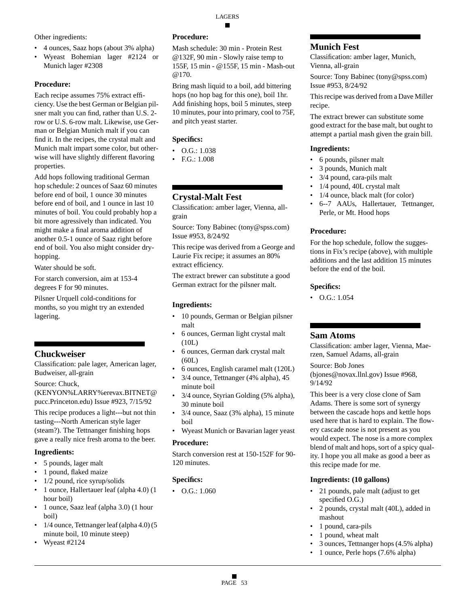Other ingredients:

- 4 ounces, Saaz hops (about 3% alpha)
- Wyeast Bohemian lager #2124 or Munich lager #2308

# **Procedure:**

Each recipe assumes 75% extract efficiency. Use the best German or Belgian pilsner malt you can find, rather than U.S. 2 row or U.S. 6-row malt. Likewise, use German or Belgian Munich malt if you can find it. In the recipes, the crystal malt and Munich malt impart some color, but otherwise will have slightly different flavoring properties.

Add hops following traditional German hop schedule: 2 ounces of Saaz 60 minutes before end of boil, 1 ounce 30 minutes before end of boil, and 1 ounce in last 10 minutes of boil. You could probably hop a bit more agressively than indicated. You might make a final aroma addition of another 0.5-1 ounce of Saaz right before end of boil. You also might consider dryhopping.

Water should be soft.

For starch conversion, aim at 153-4 degrees F for 90 minutes.

Pilsner Urquell cold-conditions for months, so you might try an extended lagering.

# **Chuckweiser**

Classification: pale lager, American lager, Budweiser, all-grain

Source: Chuck,

(KENYON%LARRY%erevax.BITNET@ pucc.Princeton.edu) Issue #923, 7/15/92

This recipe produces a light---but not thin tasting---North American style lager (steam?). The Tettnanger finishing hops gave a really nice fresh aroma to the beer.

# **Ingredients:**

- 5 pounds, lager malt
- 1 pound, flaked maize
- 1/2 pound, rice syrup/solids
- 1 ounce, Hallertauer leaf (alpha 4.0) (1 hour boil)
- 1 ounce, Saaz leaf (alpha 3.0) (1 hour boil)
- 1/4 ounce, Tettnanger leaf (alpha 4.0) (5 minute boil, 10 minute steep)
- Wyeast #2124

# **Procedure:**

Mash schedule: 30 min - Protein Rest @132F, 90 min - Slowly raise temp to 155F, 15 min - @155F, 15 min - Mash-out @170.

Bring mash liquid to a boil, add bittering hops (no hop bag for this one), boil 1hr. Add finishing hops, boil 5 minutes, steep 10 minutes, pour into primary, cool to 75F, and pitch yeast starter.

# **Specifics:**

- O.G.: 1.038
- F.G.: 1.008

# **Crystal-Malt Fest**

Classification: amber lager, Vienna, allgrain

Source: Tony Babinec (tony@spss.com) Issue #953, 8/24/92

This recipe was derived from a George and Laurie Fix recipe; it assumes an 80% extract efficiency.

The extract brewer can substitute a good German extract for the pilsner malt.

# **Ingredients:**

- 10 pounds, German or Belgian pilsner malt
- 6 ounces, German light crystal malt (10L)
- 6 ounces, German dark crystal malt (60L)
- 6 ounces, English caramel malt (120L)
- 3/4 ounce, Tettnanger (4% alpha), 45 minute boil
- 3/4 ounce, Styrian Golding (5% alpha), 30 minute boil
- 3/4 ounce, Saaz (3% alpha), 15 minute boil
- Wyeast Munich or Bavarian lager yeast

# **Procedure:**

Starch conversion rest at 150-152F for 90- 120 minutes.

# **Specifics:**

• O.G.: 1.060

# **Munich Fest**

Classification: amber lager, Munich, Vienna, all-grain

Source: Tony Babinec (tony@spss.com) Issue #953, 8/24/92

This recipe was derived from a Dave Miller recipe.

The extract brewer can substitute some good extract for the base malt, but ought to attempt a partial mash given the grain bill.

# **Ingredients:**

- 6 pounds, pilsner malt
- 3 pounds, Munich malt
- 3/4 pound, cara-pils malt
- 1/4 pound, 40L crystal malt
- 1/4 ounce, black malt (for color)
- 6--7 AAUs, Hallertauer, Tettnanger, Perle, or Mt. Hood hops

# **Procedure:**

For the hop schedule, follow the suggestions in Fix's recipe (above), with multiple additions and the last addition 15 minutes before the end of the boil.

# **Specifics:**

• O.G.: 1.054

# **Sam Atoms**

Classification: amber lager, Vienna, Maerzen, Samuel Adams, all-grain

Source: Bob Jones

(bjones@novax.llnl.gov) Issue #968, 9/14/92

This beer is a very close clone of Sam Adams. There is some sort of synergy between the cascade hops and kettle hops used here that is hard to explain. The flowery cascade nose is not present as you would expect. The nose is a more complex blend of malt and hops, sort of a spicy quality. I hope you all make as good a beer as this recipe made for me.

# **Ingredients: (10 gallons)**

- 21 pounds, pale malt (adjust to get specified O.G.)
- 2 pounds, crystal malt (40L), added in mashout
- 1 pound, cara-pils
- 1 pound, wheat malt
- 3 ounces, Tettnanger hops (4.5% alpha)
- 1 ounce, Perle hops (7.6% alpha)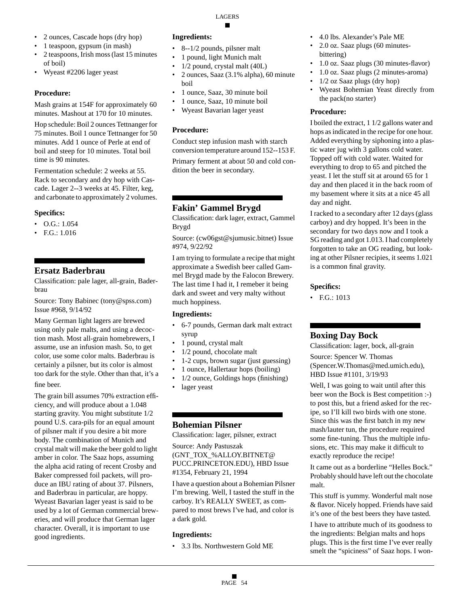- 2 ounces, Cascade hops (dry hop)
- 1 teaspoon, gypsum (in mash)
- 2 teaspoons, Irish moss (last 15 minutes of boil)
- Wyeast #2206 lager yeast

Mash grains at 154F for approximately 60 minutes. Mashout at 170 for 10 minutes.

Hop schedule: Boil 2 ounces Tettnanger for 75 minutes. Boil 1 ounce Tettnanger for 50 minutes. Add 1 ounce of Perle at end of boil and steep for 10 minutes. Total boil time is 90 minutes.

Fermentation schedule: 2 weeks at 55. Rack to secondary and dry hop with Cascade. Lager 2--3 weeks at 45. Filter, keg, and carbonate to approximately 2 volumes.

#### **Specifics:**

- O.G.: 1.054
- F.G.: 1.016

# **Ersatz Baderbrau**

Classification: pale lager, all-grain, Baderbrau

Source: Tony Babinec (tony@spss.com) Issue #968, 9/14/92

Many German light lagers are brewed using only pale malts, and using a decoction mash. Most all-grain homebrewers, I assume, use an infusion mash. So, to get color, use some color malts. Baderbrau is certainly a pilsner, but its color is almost too dark for the style. Other than that, it's a fine beer.

The grain bill assumes 70% extraction efficiency, and will produce about a 1.048 starting gravity. You might substitute 1/2 pound U.S. cara-pils for an equal amount of pilsner malt if you desire a bit more body. The combination of Munich and crystal malt will make the beer gold to light amber in color. The Saaz hops, assuming the alpha acid rating of recent Crosby and Baker compressed foil packets, will produce an IBU rating of about 37. Pilsners, and Baderbrau in particular, are hoppy. Wyeast Bavarian lager yeast is said to be used by a lot of German commercial breweries, and will produce that German lager character. Overall, it is important to use good ingredients.

#### **Ingredients:**

- 8--1/2 pounds, pilsner malt
- 1 pound, light Munich malt
- 1/2 pound, crystal malt (40L)
- 2 ounces, Saaz (3.1% alpha), 60 minute boil
- 1 ounce, Saaz, 30 minute boil
- 1 ounce, Saaz, 10 minute boil
- Wyeast Bavarian lager yeast

#### **Procedure:**

Conduct step infusion mash with starch conversion temperature around 152--153 F.

Primary ferment at about 50 and cold condition the beer in secondary.

# **Fakin' Gammel Brygd**

Classification: dark lager, extract, Gammel Brygd

Source: (cw06gst@sjumusic.bitnet) Issue #974, 9/22/92

I am trying to formulate a recipe that might approximate a Swedish beer called Gammel Brygd made by the Falocon Brewery. The last time I had it, I remeber it being dark and sweet and very malty without much hoppiness.

#### **Ingredients:**

- 6-7 pounds, German dark malt extract syrup
- 1 pound, crystal malt
- 1/2 pound, chocolate malt
- 1-2 cups, brown sugar (just guessing)
- 1 ounce, Hallertaur hops (boiling)
- 1/2 ounce, Goldings hops (finishing)
- lager yeast

# **Bohemian Pilsner**

Classification: lager, pilsner, extract

Source: Andy Pastuszak (GNT\_TOX\_%ALLOY.BITNET@ PUCC.PRINCETON.EDU), HBD Issue #1354, February 21, 1994

I have a question about a Bohemian Pilsner I'm brewing. Well, I tasted the stuff in the carboy. It's REALLY SWEET, as compared to most brews I've had, and color is a dark gold.

#### **Ingredients:**

• 3.3 lbs. Northwestern Gold ME

- 4.0 lbs. Alexander's Pale ME
- 2.0 oz. Saaz plugs (60 minutesbittering)
- 1.0 oz. Saaz plugs (30 minutes-flavor)
	- 1.0 oz. Saaz plugs (2 minutes-aroma)
- 1/2 oz Saaz plugs (dry hop)
- Wyeast Bohemian Yeast directly from the pack(no starter)

#### **Procedure:**

I boiled the extract, 1 1/2 gallons water and hops as indicated in the recipe for one hour. Added everything by siphoning into a plastic water jug with 3 gallons cold water. Topped off with cold water. Waited for everything to drop to 65 and pitched the yeast. I let the stuff sit at around 65 for 1 day and then placed it in the back room of my basement where it sits at a nice 45 all day and night.

I racked to a secondary after 12 days (glass carboy) and dry hopped. It's been in the secondary for two days now and I took a SG reading and got 1.013. I had completely forgotten to take an OG reading, but looking at other Pilsner recipies, it seems 1.021 is a common final gravity.

#### **Specifics:**

• F.G.: 1013

# **Boxing Day Bock**

Classification: lager, bock, all-grain Source: Spencer W. Thomas (Spencer.W.Thomas@med.umich.edu), HBD Issue #1101, 3/19/93

Well, I was going to wait until after this beer won the Bock is Best competition :-) to post this, but a friend asked for the recipe, so I'll kill two birds with one stone. Since this was the first batch in my new mash/lauter tun, the procedure required some fine-tuning. Thus the multiple infusions, etc. This may make it difficult to exactly reproduce the recipe!

It came out as a borderline "Helles Bock." Probably should have left out the chocolate malt.

This stuff is yummy. Wonderful malt nose & flavor. Nicely hopped. Friends have said it's one of the best beers they have tasted.

I have to attribute much of its goodness to the ingredients: Belgian malts and hops plugs. This is the first time I've ever really smelt the "spiciness" of Saaz hops. I won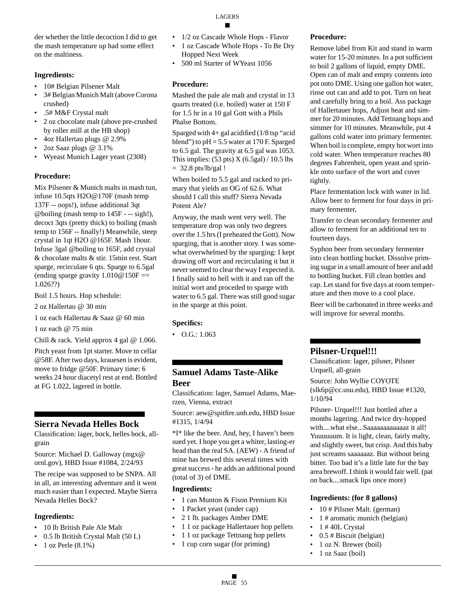der whether the little decoction I did to get the mash temperature up had some effect on the maltiness.

### **Ingredients:**

- 10# Belgian Pilsener Malt
- 3# Belgian Munich Malt (above Corona crushed)
- .5# M&F Crystal malt
- 2 oz chocolate malt (above pre-crushed by roller mill at the HB shop)
- 4oz Hallertau plugs @ 2.9%
- 2oz Saaz plugs @ 3.1%
- Wyeast Munich Lager yeast (2308)

#### **Procedure:**

Mix Pilsener & Munich malts in mash tun, infuse 10.5qts H2O@170F (mash temp 137F -- oops!), infuse additional 3qt @boiling (mash temp to 145F - -- sigh!), decoct 3qts (pretty thick) to boiling (mash temp to 156F -- finally!) Meanwhile, steep crystal in 1qt H2O @165F. Mash 1hour. Infuse 3gal @boiling to 165F, add crystal & chocolate malts & stir. 15min rest. Start sparge, recirculate 6 qts. Sparge to 6.5gal (ending sparge gravity  $1.010@150F ==$ 1.026??)

Boil 1.5 hours. Hop schedule:

2 oz Hallertau @ 30 min

1 oz each Hallertau & Saaz @ 60 min

1 oz each @ 75 min

Chill & rack. Yield approx 4 gal @ 1.066.

Pitch yeast from 1pt starter. Move to cellar @58F. After two days, krauesen is evident, move to fridge @50F. Primary time: 6 weeks 24 hour diacetyl rest at end. Bottled at FG 1.022, lagered in bottle.

# **Sierra Nevada Helles Bock**

Classification: lager, bock, helles bock, allgrain

Source: Michael D. Galloway (mgx@ ornl.gov), HBD Issue #1084, 2/24/93

The recipe was supposed to be SNPA. All in all, an interesting adventure and it went much easier than I expected. Maybe Sierra Nevada Helles Bock?

#### **Ingredients:**

- 10 lb British Pale Ale Malt
- 0.5 lb British Crystal Malt (50 L)
- 1 oz Perle (8.1%)
- 1/2 oz Cascade Whole Hops Flavor
- 1 oz Cascade Whole Hops To Be Dry Hopped Next Week
- 500 ml Starter of WYeast 1056

## **Procedure:**

Mashed the pale ale malt and crystal in 13 quarts treated (i.e. boiled) water at 150 F for 1.5 hr in a 10 gal Gott with a Phils Phalse Bottom.

Sparged with 4+ gal acidified (1/8 tsp "acid blend") to  $pH = 5.5$  water at 170 F. Sparged to 6.5 gal. The gravity at 6.5 gal was 1053. This implies:  $(53 \text{ pts}) X (6.5 \text{ gal}) / 10.5 \text{ lbs}$  $= 32.8$  pts/lb/gal !

When boiled to 5.5 gal and racked to primary that yields an OG of 62.6. What should I call this stuff? Sierra Nevada Potent Ale?

Anyway, the mash went very well. The temperature drop was only two degrees over the 1.5 hrs (I preheated the Gott). Now sparging, that is another story. I was somewhat overwhelmed by the sparging: I kept drawing off wort and recirculating it but it never seemed to clear the way I expected it. I finally said to hell with it and ran off the initial wort and proceded to sparge with water to 6.5 gal. There was still good sugar in the sparge at this point.

# **Specifics:**

 $\bullet$  O.G.: 1.063

# **Samuel Adams Taste-Alike Beer**

Classification: lager, Samuel Adams, Maerzen, Vienna, extract

Source: aew@spitfire.unh.edu, HBD Issue #1315, 1/4/94

\*I\* like the beer. And, hey, I haven't been sued yet. I hope you get a whiter, lasting-er head than the real SA. (AEW) - A friend of mine has brewed this several times with great success - he adds an additional pound (total of 3) of DME.

#### **Ingredients:**

- 1 can Munton & Fison Premium Kit
- 1 Packet yeast (under cap)
- 2 1 lb. packages Amber DME
- 1 1 oz package Hallertauer hop pellets
- 1 1 oz package Tettnang hop pellets
- 1 cup corn sugar (for priming)

## **Procedure:**

Remove label from Kit and stand in warm water for 15-20 minutes. In a pot sufficient to boil 2 gallons of liquid, empty DME. Open can of malt and empty contents into pot onto DME. Using one gallon hot water, rinse out can and add to pot. Turn on heat and carefully bring to a boil. Ass package of Hallertauer hops, Adjust heat and simmer for 20 minutes. Add Tettnang hops and simmer for 10 minutes. Meanwhile, put 4 gallons cold water into primary fermenter. When boil is complete, empty hot wort into cold water. When temperature reaches 80 degrees Fahrenheit, open yeast and sprinkle onto surface of the wort and cover tightly.

Place fermentation lock with water in lid. Allow beer to ferment for four days in primary fermenter,

Transfer to clean secondary fermenter and allow to ferment for an additional ten to fourteen days.

Syphon beer from secondary fermenter into clean bottling bucket. Dissolve priming sugar in a small amount of beer and add to bottling bucket. Fill clean bottles and cap. Let stand for five days at room temperature and then move to a cool place.

Beer will be carbonated in three weeks and will improve for several months.

# **Pilsner-Urquel!!!**

Classification: lager, pilsner, Pilsner Urquell, all-grain Source: John Wyllie COYOTE (slk6p@cc.usu.edu), HBD Issue #1320, 1/10/94

Pilsner- Urquel!!! Just bottled after a months lagering. And twice dry-hopped with....what else...Saaaaaaaaaaaaz it all! Yuuuuuum. It is light, clean, fairly malty, and slightly sweet, but crisp. And this baby just screams saaaaaaz. But without being bitter. Too bad it's a little late for the bay area brewoff. I think it would fair well. (pat on back....smack lips once more)

#### **Ingredients: (for 8 gallons)**

- 10 # Pilsner Malt. (german)
- 1 # aromatic munich (belgian)
- 1 # 40L Crystal
- 0.5 # Biscuit (belgian)
- 1 oz N. Brewer (boil)
- 1 oz Saaz (boil)

LAGERS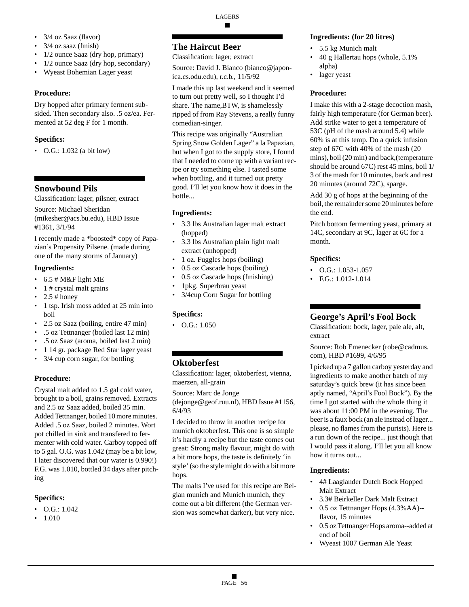# • 3/4 oz Saaz (flavor)

- 3/4 oz saaz (finish)
- 1/2 ounce Saaz (dry hop, primary)
- 1/2 ounce Saaz (dry hop, secondary)
- Wyeast Bohemian Lager yeast

## **Procedure:**

Dry hopped after primary ferment subsided. Then secondary also. .5 oz/ea. Fermented at 52 deg F for 1 month.

# **Specifics:**

• O.G.: 1.032 (a bit low)

# **Snowbound Pils**

Classification: lager, pilsner, extract

Source: Michael Sheridan (mikesher@acs.bu.edu), HBD Issue #1361, 3/1/94

I recently made a \*boosted\* copy of Papazian's Propensity Pilsene. (made during one of the many storms of January)

## **Ingredients:**

- $\cdot$  6.5 # M&F light ME
- 1 # crystal malt grains
- $2.5$  # honey
- 1 tsp. Irish moss added at 25 min into boil
- 2.5 oz Saaz (boiling, entire 47 min)
- .5 oz Tettnanger (boiled last 12 min)
- .5 oz Saaz (aroma, boiled last 2 min)
- 1 14 gr. package Red Star lager yeast
- 3/4 cup corn sugar, for bottling

# **Procedure:**

Crystal malt added to 1.5 gal cold water, brought to a boil, grains removed. Extracts and 2.5 oz Saaz added, boiled 35 min. Added Tettnanger, boiled 10 more minutes. Added .5 oz Saaz, boiled 2 minutes. Wort pot chilled in sink and transfered to fermenter with cold water. Carboy topped off to 5 gal. O.G. was 1.042 (may be a bit low, I later discovered that our water is 0.990!) F.G. was 1.010, bottled 34 days after pitching

# **Specifics:**

- O.G.: 1.042
- 1.010

# **The Haircut Beer**

Classification: lager, extract

Source: David J. Bianco (bianco@japonica.cs.odu.edu), r.c.b., 11/5/92

I made this up last weekend and it seemed to turn out pretty well, so I thought I'd share. The name,BTW, is shamelessly ripped of from Ray Stevens, a really funny comedian-singer.

This recipe was originally "Australian Spring Snow Golden Lager" a la Papazian, but when I got to the supply store, I found that I needed to come up with a variant recipe or try something else. I tasted some when bottling, and it turned out pretty good. I'll let you know how it does in the bottle...

# **Ingredients:**

- 3.3 lbs Australian lager malt extract (hopped)
- 3.3 lbs Australian plain light malt extract (unhopped)
- 1 oz. Fuggles hops (boiling)
- 0.5 oz Cascade hops (boiling)
- 0.5 oz Cascade hops (finishing)
- 1pkg. Superbrau yeast
- 3/4cup Corn Sugar for bottling

# **Specifics:**

• O.G.: 1.050

# **Oktoberfest**

Classification: lager, oktoberfest, vienna, maerzen, all-grain

Source: Marc de Jonge (dejonge@geof.ruu.nl), HBD Issue #1156, 6/4/93

I decided to throw in another recipe for munich oktoberfest. This one is so simple it's hardly a recipe but the taste comes out great: Strong malty flavour, might do with a bit more hops, the taste is definitely 'in style' (so the style might do with a bit more hops.

The malts I've used for this recipe are Belgian munich and Munich munich, they come out a bit different (the German version was somewhat darker), but very nice.

## **Ingredients: (for 20 litres)**

- 5.5 kg Munich malt
- 40 g Hallertau hops (whole, 5.1% alpha)
- lager yeast

# **Procedure:**

I make this with a 2-stage decoction mash, fairly high temperature (for German beer). Add strike water to get a temperature of 53C (pH of the mash around 5.4) while 60% is at this temp. Do a quick infusion step of 67C with 40% of the mash (20 mins), boil (20 min) and back,(temperature should be around 67C) rest 45 mins, boil 1/ 3 of the mash for 10 minutes, back and rest 20 minutes (around 72C), sparge.

Add 30 g of hops at the beginning of the boil, the remainder some 20 minutes before the end.

Pitch bottom fermenting yeast, primary at 14C, secondary at 9C, lager at 6C for a month.

# **Specifics:**

- O.G.: 1.053-1.057
- F.G.: 1.012-1.014

# **George's April's Fool Bock**

Classification: bock, lager, pale ale, alt, extract

Source: Rob Emenecker (robe@cadmus. com), HBD #1699, 4/6/95

I picked up a 7 gallon carboy yesterday and ingredients to make another batch of my saturday's quick brew (it has since been aptly named, "April's Fool Bock"). By the time I got started with the whole thing it was about 11:00 PM in the evening. The beer is a faux bock (an ale instead of lager... please, no flames from the purists). Here is a run down of the recipe... just though that I would pass it along. I'll let you all know how it turns out...

# **Ingredients:**

- 4# Laaglander Dutch Bock Hopped Malt Extract
- 3.3# Beirkeller Dark Malt Extract
- 0.5 oz Tettnanger Hops (4.3%AA)- flavor, 15 minutes
- 0.5 oz Tettnanger Hops aroma--added at end of boil
- Wyeast 1007 German Ale Yeast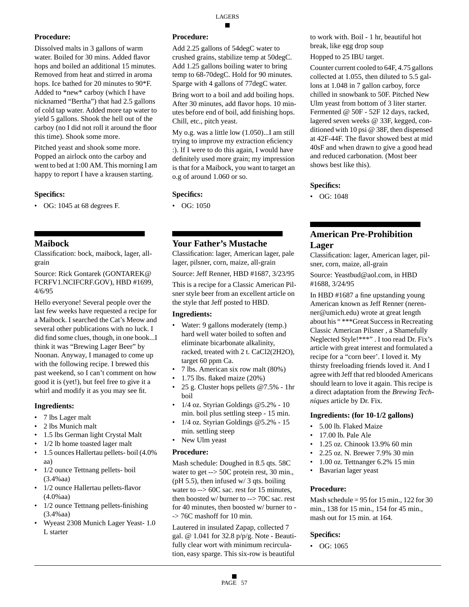Dissolved malts in 3 gallons of warm water. Boiled for 30 mins. Added flavor hops and boiled an additional 15 minutes. Removed from heat and stirred in aroma hops. Ice bathed for 20 minutes to 90\*F. Added to \*new\* carboy (which I have nicknamed "Bertha") that had 2.5 gallons of cold tap water. Added more tap water to yield 5 gallons. Shook the hell out of the carboy (no I did not roll it around the floor this time). Shook some more.

Pitched yeast and shook some more. Popped an airlock onto the carboy and went to bed at 1:00 AM. This morning I am happy to report I have a krausen starting.

## **Specifics:**

• OG: 1045 at 68 degrees F.

# **Maibock**

Classification: bock, maibock, lager, allgrain

Source: Rick Gontarek (GONTAREK@ FCRFV1.NCIFCRF.GOV), HBD #1699, 4/6/95

Hello everyone! Several people over the last few weeks have requested a recipe for a Maibock. I searched the Cat's Meow and several other publications with no luck. I did find some clues, though, in one book...I think it was "Brewing Lager Beer" by Noonan. Anyway, I managed to come up with the following recipe. I brewed this past weekend, so I can't comment on how good it is (yet!), but feel free to give it a whirl and modify it as you may see fit.

#### **Ingredients:**

- 7 lbs Lager malt
- 2 lbs Munich malt
- 1.5 lbs German light Crystal Malt
- 1/2 lb home toasted lager malt
- 1.5 ounces Hallertau pellets- boil (4.0%) aa)
- 1/2 ounce Tettnang pellets- boil (3.4%aa)
- 1/2 ounce Hallertau pellets-flavor (4.0%aa)
- 1/2 ounce Tettnang pellets-finishing (3.4%aa)
- Wyeast 2308 Munich Lager Yeast- 1.0 L starter

## **Procedure:**

Add 2.25 gallons of 54degC water to crushed grains, stabilize temp at 50degC. Add 1.25 gallons boiling water to bring temp to 68-70degC. Hold for 90 minutes. Sparge with 4 gallons of 77degC water.

Bring wort to a boil and add boiling hops. After 30 minutes, add flavor hops. 10 minutes before end of boil, add finishing hops. Chill, etc., pitch yeast.

My o.g. was a little low (1.050)...I am still trying to improve my extraction eficiency :). If I were to do this again, I would have definitely used more grain; my impression is that for a Maibock, you want to target an o.g of around 1.060 or so.

## **Specifics:**

• OG: 1050

# **Your Father's Mustache**

Classification: lager, American lager, pale lager, pilsner, corn, maize, all-grain

Source: Jeff Renner, HBD #1687, 3/23/95

This is a recipe for a Classic American Pilsner style beer from an excellent article on the style that Jeff posted to HBD.

#### **Ingredients:**

- Water: 9 gallons moderately (temp.) hard well water boiled to soften and eliminate bicarbonate alkalinity, racked, treated with 2 t. CaCl2(2H2O), target 60 ppm Ca.
- 7 lbs. American six row malt (80%)
- 1.75 lbs. flaked maize (20%)
- 25 g. Cluster hops pellets @7.5% 1hr boil
- 1/4 oz. Styrian Goldings @5.2% 10 min. boil plus settling steep - 15 min.
- 1/4 oz. Styrian Goldings  $@5.2\%$  15 min. settling steep
- New Ulm yeast

#### **Procedure:**

Mash schedule: Doughed in 8.5 qts. 58C water to get --> 50C protein rest, 30 min., (pH 5.5), then infused  $w/3$  qts. boiling water to --> 60C sac. rest for 15 minutes, then boosted w/ burner to --> 70C sac. rest for 40 minutes, then boosted w/ burner to - -> 76C mashoff for 10 min.

Lautered in insulated Zapap, collected 7 gal. @ 1.041 for 32.8 p/p/g. Note - Beautifully clear wort with minimum recirculation, easy sparge. This six-row is beautiful

to work with. Boil - 1 hr, beautiful hot break, like egg drop soup

Hopped to 25 IBU target.

Counter current cooled to 64F, 4.75 gallons collected at 1.055, then diluted to 5.5 gallons at 1.048 in 7 gallon carboy, force chilled in snowbank to 50F. Pitched New Ulm yeast from bottom of 3 liter starter. Fermented @ 50F - 52F 12 days, racked, lagered seven weeks @ 33F, kegged, conditioned with 10 psi @ 38F, then dispensed at 42F-44F. The flavor showed best at mid 40sF and when drawn to give a good head and reduced carbonation. (Most beer shows best like this).

## **Specifics:**

• OG: 1048

# **American Pre-Prohibition Lager**

Classification: lager, American lager, pilsner, corn, maize, all-grain

Source: Yeastbud@aol.com, in HBD #1688, 3/24/95

In HBD #1687 a fine upstanding young American known as Jeff Renner (nerenner@umich.edu) wrote at great length about his " \*\*\*Great Success in Recreating Classic American Pilsner , a Shamefully Neglected Style!\*\*\*" . I too read Dr. Fix's article with great interest and formulated a recipe for a "corn beer'. I loved it. My thirsty freeloading friends loved it. And I agree with Jeff that red blooded Americans should learn to love it again. This recipe is a direct adaptation from the *Brewing Techniques* article by Dr. Fix.

#### **Ingredients: (for 10-1/2 gallons)**

- 5.00 lb. Flaked Maize
- 17.00 lb. Pale Ale
- 1.25 oz. Chinook 13.9% 60 min
- 2.25 oz. N. Brewer 7.9% 30 min
- 1.00 oz. Tettnanger 6.2% 15 min
- Bavarian lager yeast

#### **Procedure:**

Mash schedule =  $95$  for 15 min., 122 for 30 min., 138 for 15 min., 154 for 45 min., mash out for 15 min. at 164.

#### **Specifics:**

• OG: 1065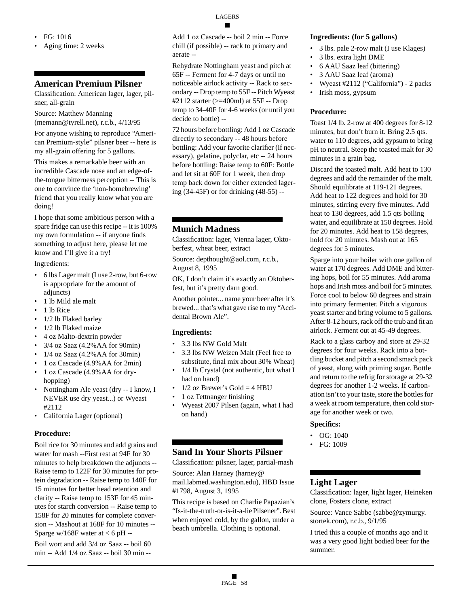- FG: 1016
- Aging time: 2 weeks

# **American Premium Pilsner**

Classification: American lager, lager, pilsner, all-grain

Source: Matthew Manning (memann@tyrell.net), r.c.b., 4/13/95

For anyone wishing to reproduce "American Premium-style" pilsner beer -- here is my all-grain offering for 5 gallons.

This makes a remarkable beer with an incredible Cascade nose and an edge-ofthe-tongue bitterness perception -- This is one to convince the 'non-homebrewing' friend that you really know what you are doing!

I hope that some ambitious person with a spare fridge can use this recipe -- it is 100% my own formulation -- if anyone finds something to adjust here, please let me know and I'll give it a try!

Ingredients:

- 6 lbs Lager malt (I use 2-row, but 6-row is appropriate for the amount of adjuncts)
- 1 lb Mild ale malt
- 1 lb Rice
- 1/2 lb Flaked barley
- 1/2 lb Flaked maize
- 4 oz Malto-dextrin powder
- 3/4 oz Saaz (4.2%AA for 90min)
- $1/4$  oz Saaz (4.2% AA for 30min)
- 1 oz Cascade (4.9%AA for 2min)
- 1 oz Cascade (4.9% AA for dryhopping)
- Nottingham Ale yeast (dry -- I know, I NEVER use dry yeast...) or Wyeast #2112
- California Lager (optional)

#### **Procedure:**

Boil rice for 30 minutes and add grains and water for mash --First rest at 94F for 30 minutes to help breakdown the adjuncts -- Raise temp to 122F for 30 minutes for protein degradation -- Raise temp to 140F for 15 minutes for better head retention and clarity -- Raise temp to 153F for 45 minutes for starch conversion -- Raise temp to 158F for 20 minutes for complete conversion -- Mashout at 168F for 10 minutes -- Sparge  $w/168F$  water at < 6 pH --

Boil wort and add 3/4 oz Saaz -- boil 60 min -- Add 1/4 oz Saaz -- boil 30 min --

Add 1 oz Cascade -- boil 2 min -- Force chill (if possible) -- rack to primary and aerate --

Rehydrate Nottingham yeast and pitch at 65F -- Ferment for 4-7 days or until no noticeable airlock activity -- Rack to secondary -- Drop temp to 55F -- Pitch Wyeast #2112 starter (>=400ml) at 55F -- Drop temp to 34-40F for 4-6 weeks (or until you decide to bottle) --

72 hours before bottling: Add 1 oz Cascade directly to secondary -- 48 hours before bottling: Add your favorite clarifier (if necessary), gelatine, polyclar, etc -- 24 hours before bottling: Raise temp to 60F: Bottle and let sit at 60F for 1 week, then drop temp back down for either extended lagering (34-45F) or for drinking (48-55) --

# **Munich Madness**

Classification: lager, Vienna lager, Oktoberfest, wheat beer, extract

Source: depthought@aol.com, r.c.b., August 8, 1995

OK, I don't claim it's exactly an Oktoberfest, but it's pretty darn good.

Another pointer... name your beer after it's brewed... that's what gave rise to my "Accidental Brown Ale".

#### **Ingredients:**

- 3.3 lbs NW Gold Malt
- 3.3 lbs NW Weizen Malt (Feel free to substitute, final mix about 30% Wheat)
- 1/4 lb Crystal (not authentic, but what I had on hand)
- $1/2$  oz Brewer's Gold = 4 HBU
- 1 oz Tettnanger finishing
- Wyeast 2007 Pilsen (again, what I had on hand)

# **Sand In Your Shorts Pilsner**

Classification: pilsner, lager, partial-mash

Source: Alan Harney (harney@ mail.labmed.washington.edu), HBD Issue #1798, August 3, 1995

This recipe is based on Charlie Papazian's "Is-it-the-truth-or-is-it-a-lie Pilsener". Best when enjoyed cold, by the gallon, under a beach umbrella. Clothing is optional.

#### **Ingredients: (for 5 gallons)**

- 3 lbs. pale 2-row malt (I use Klages)
- 3 lbs. extra light DME
- 6 AAU Saaz leaf (bittering)
- 3 AAU Saaz leaf (aroma)
- Wyeast #2112 ("California") 2 packs
- Irish moss, gypsum

#### **Procedure:**

Toast 1/4 lb. 2-row at 400 degrees for 8-12 minutes, but don't burn it. Bring 2.5 qts. water to 110 degrees, add gypsum to bring pH to neutral. Steep the toasted malt for 30 minutes in a grain bag.

Discard the toasted malt. Add heat to 130 degrees and add the remainder of the malt. Should equilibrate at 119-121 degrees. Add heat to 122 degrees and hold for 30 minutes, stirring every five minutes. Add heat to 130 degrees, add 1.5 qts boiling water, and equilibrate at 150 degrees. Hold for 20 minutes. Add heat to 158 degrees, hold for 20 minutes. Mash out at 165 degrees for 5 minutes.

Sparge into your boiler with one gallon of water at 170 degrees. Add DME and bittering hops, boil for 55 minutes. Add aroma hops and Irish moss and boil for 5 minutes. Force cool to below 60 degrees and strain into primary fermenter. Pitch a vigorous yeast starter and bring volume to 5 gallons. After 8-12 hours, rack off the trub and fit an airlock. Ferment out at 45-49 degrees.

Rack to a glass carboy and store at 29-32 degrees for four weeks. Rack into a bottling bucket and pitch a second smack pack of yeast, along with priming sugar. Bottle and return to the refrig for storage at 29-32 degrees for another 1-2 weeks. If carbonation isn't to your taste, store the bottles for a week at room temperature, then cold storage for another week or two.

#### **Specifics:**

- OG: 1040
- FG: 1009

# **Light Lager**

Classification: lager, light lager, Heineken clone, Fosters clone, extract

Source: Vance Sabbe (sabbe@zymurgy. stortek.com), r.c.b., 9/1/95

I tried this a couple of months ago and it was a very good light bodied beer for the summer.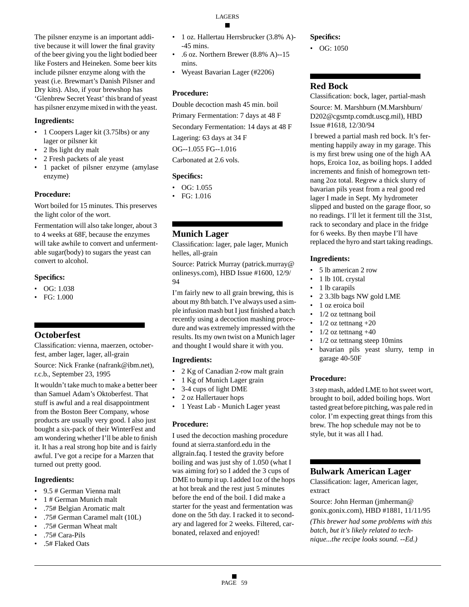LAGERS

The pilsner enzyme is an important additive because it will lower the final gravity of the beer giving you the light bodied beer like Fosters and Heineken. Some beer kits include pilsner enzyme along with the yeast (i.e. Brewmart's Danish Pilsner and Dry kits). Also, if your brewshop has 'Glenbrew Secret Yeast' this brand of yeast has pilsner enzyme mixed in with the yeast.

#### **Ingredients:**

- 1 Coopers Lager kit (3.75lbs) or any lager or pilsner kit
- 2 lbs light dry malt
- 2 Fresh packets of ale yeast
- 1 packet of pilsner enzyme (amylase enzyme)

# **Procedure:**

Wort boiled for 15 minutes. This preserves the light color of the wort.

Fermentation will also take longer, about 3 to 4 weeks at 68F, because the enzymes will take awhile to convert and unfermentable sugar(body) to sugars the yeast can convert to alcohol.

## **Specifics:**

- $\bullet$  OG: 1.038
- FG: 1.000

# **Octoberfest**

Classification: vienna, maerzen, octoberfest, amber lager, lager, all-grain

Source: Nick Franke (nafrank@ibm.net), r.c.b., September 23, 1995

It wouldn't take much to make a better beer than Samuel Adam's Oktoberfest. That stuff is awful and a real disappointment from the Boston Beer Company, whose products are usually very good. I also just bought a six-pack of their WinterFest and am wondering whether I'll be able to finish it. It has a real strong hop bite and is fairly awful. I've got a recipe for a Marzen that turned out pretty good.

#### **Ingredients:**

- 9.5 # German Vienna malt
- 1 # German Munich malt
- .75# Belgian Aromatic malt
- .75# German Caramel malt (10L)
- .75# German Wheat malt
- .75# Cara-Pils
- .5# Flaked Oats

#### • 1 oz. Hallertau Herrsbrucker (3.8% A)- -45 mins.

- .6 oz. Northern Brewer (8.8% A)--15 mins.
- Wyeast Bavarian Lager (#2206)

## **Procedure:**

Double decoction mash 45 min. boil Primary Fermentation: 7 days at 48 F Secondary Fermentation: 14 days at 48 F Lagering: 63 days at 34 F

OG--1.055 FG--1.016

Carbonated at 2.6 vols.

# **Specifics:**

- OG: 1.055
- FG: 1.016

# **Munich Lager**

Classification: lager, pale lager, Munich helles, all-grain

Source: Patrick Murray (patrick.murray@ onlinesys.com), HBD Issue #1600, 12/9/ 94

I'm fairly new to all grain brewing, this is about my 8th batch. I've always used a simple infusion mash but I just finished a batch recently using a decoction mashing procedure and was extremely impressed with the results. Its my own twist on a Munich lager and thought I would share it with you.

# **Ingredients:**

- 2 Kg of Canadian 2-row malt grain
- 1 Kg of Munich Lager grain
- 3-4 cups of light DME
- 2 oz Hallertauer hops
- 1 Yeast Lab Munich Lager yeast

#### **Procedure:**

I used the decoction mashing procedure found at sierra.stanford.edu in the allgrain.faq. I tested the gravity before boiling and was just shy of 1.050 (what I was aiming for) so I added the 3 cups of DME to bump it up. I added 1oz of the hops at hot break and the rest just 5 minutes before the end of the boil. I did make a starter for the yeast and fermentation was done on the 5th day. I racked it to secondary and lagered for 2 weeks. Filtered, carbonated, relaxed and enjoyed!

## **Specifics:**

 $\bullet$  OG: 1050

# **Red Bock**

Classification: bock, lager, partial-mash Source: M. Marshburn (M.Marshburn/ D202@cgsmtp.comdt.uscg.mil), HBD Issue #1618, 12/30/94

I brewed a partial mash red bock. It's fermenting happily away in my garage. This is my first brew using one of the high AA hops, Eroica 1oz, as boiling hops. I added increments and finish of homegrown tettnang 2oz total. Regrew a thick slurry of bavarian pils yeast from a real good red lager I made in Sept. My hydrometer slipped and busted on the garage floor, so no readings. I'll let it ferment till the 31st, rack to secondary and place in the fridge for 6 weeks. By then maybe I'll have replaced the hyro and start taking readings.

# **Ingredients:**

- 5 lb american 2 row
- 1 lb 10L crystal
- 1 lb carapils
- 2 3.3lb bags NW gold LME
- 1 oz eroica boil
- 1/2 oz tettnang boil
- $1/2$  oz tettnang  $+20$
- $1/2$  oz tettnang  $+40$
- 1/2 oz tettnang steep 10mins
- bavarian pils yeast slurry, temp in garage 40-50F

#### **Procedure:**

3 step mash, added LME to hot sweet wort, brought to boil, added boiling hops. Wort tasted great before pitching, was pale red in color. I'm expecting great things from this brew. The hop schedule may not be to style, but it was all I had.

# **Bulwark American Lager**

Classification: lager, American lager, extract

Source: John Herman (jmherman@ gonix.gonix.com), HBD #1881, 11/11/95

*(This brewer had some problems with this batch, but it's likely related to technique...the recipe looks sound. --Ed.)*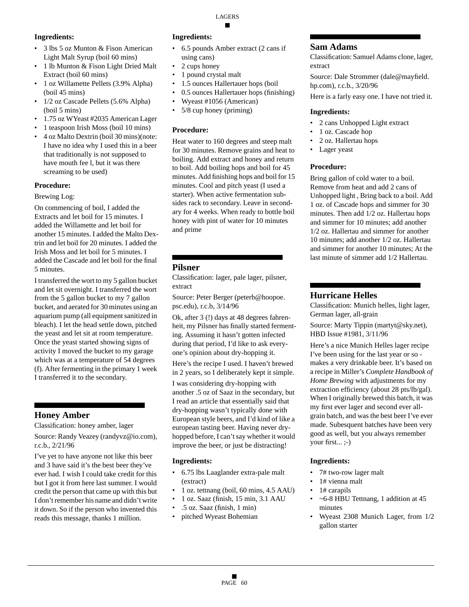# **Ingredients:**

- 3 lbs 5 oz Munton & Fison American Light Malt Syrup (boil 60 mins)
- 1 lb Munton & Fison Light Dried Malt Extract (boil 60 mins)
- 1 oz Willamette Pellets (3.9% Alpha) (boil 45 mins)
- 1/2 oz Cascade Pellets (5.6% Alpha) (boil 5 mins)
- 1.75 oz WYeast #2035 American Lager
- 1 teaspoon Irish Moss (boil 10 mins)
- 4 oz Malto Dextrin (boil 30 mins)(note: I have no idea why I used this in a beer that traditionally is not supposed to have mouth fee l, but it was there screaming to be used)

#### **Procedure:**

Brewing Log:

On commencing of boil, I added the Extracts and let boil for 15 minutes. I added the Willamette and let boil for another 15 minutes. I added the Malto Dextrin and let boil for 20 minutes. I added the Irish Moss and let boil for 5 minutes. I added the Cascade and let boil for the final 5 minutes.

I transferred the wort to my 5 gallon bucket and let sit overnight. I transferred the wort from the 5 gallon bucket to my 7 gallon bucket, and aerated for 30 minutes using an aquarium pump (all equipment sanitized in bleach). I let the head settle down, pitched the yeast and let sit at room temperature. Once the yeast started showing signs of activity I moved the bucket to my garage which was at a temperature of 54 degrees (f). After fermenting in the primary 1 week I transferred it to the secondary.

# **Honey Amber**

Classification: honey amber, lager

Source: Randy Veazey (randyvz@io.com), r.c.b., 2/21/96

I've yet to have anyone not like this beer and 3 have said it's the best beer they've ever had. I wish I could take credit for this but I got it from here last summer. I would credit the person that came up with this but I don't remember his name and didn't write it down. So if the person who invented this reads this message, thanks 1 million.

#### **Ingredients:**

- 6.5 pounds Amber extract (2 cans if using cans)
- 2 cups honey
- 1 pound crystal malt
- 1.5 ounces Hallertauer hops (boil
- 0.5 ounces Hallertauer hops (finishing)
- Wyeast #1056 (American)
- 5/8 cup honey (priming)

#### **Procedure:**

Heat water to 160 degrees and steep malt for 30 minutes. Remove grains and heat to boiling. Add extract and honey and return to boil. Add boiling hops and boil for 45 minutes. Add finishing hops and boil for 15 minutes. Cool and pitch yeast (I used a starter). When active fermentation subsides rack to secondary. Leave in secondary for 4 weeks. When ready to bottle boil honey with pint of water for 10 minutes and prime

# **Pilsner**

Classification: lager, pale lager, pilsner, extract

Source: Peter Berger (peterb@hoopoe. psc.edu), r.c.b, 3/14/96

Ok, after 3 (!) days at 48 degrees fahrenheit, my Pilsner has finally started fermenting. Assuming it hasn't gotten infected during that period, I'd like to ask everyone's opinion about dry-hopping it.

Here's the recipe I used. I haven't brewed in 2 years, so I deliberately kept it simple.

I was considering dry-hopping with another .5 oz of Saaz in the secondary, but I read an article that essentially said that dry-hopping wasn't typically done with European style beers, and I'd kind of like a european tasting beer. Having never dryhopped before, I can't say whether it would improve the beer, or just be distracting!

#### **Ingredients:**

- 6.75 lbs Laaglander extra-pale malt (extract)
- 1 oz. tettnang (boil, 60 mins, 4.5 AAU)
- 1 oz. Saaz (finish, 15 min, 3.1 AAU
- .5 oz. Saaz (finish, 1 min)
- pitched Wyeast Bohemian

## **Sam Adams**

Classification: Samuel Adams clone, lager, extract

Source: Dale Strommer (dale@mayfield. hp.com), r.c.b., 3/20/96

Here is a farly easy one. I have not tried it.

#### **Ingredients:**

- 2 cans Unhopped Light extract
- 1 oz. Cascade hop
- 2 oz. Hallertau hops
- Lager yeast

## **Procedure:**

Bring gallon of cold water to a boil. Remove from heat and add 2 cans of Unhopped light , Bring back to a boil. Add 1 oz. of Cascade hops and simmer for 30 minutes. Then add 1/2 oz. Hallertau hops and simmer for 10 minutes; add another 1/2 oz. Hallertau and simmer for another 10 minutes; add another 1/2 oz. Hallertau and simmer for another 10 minutes; At the last minute of simmer add 1/2 Hallertau.

# **Hurricane Helles**

Classification: Munich helles, light lager, German lager, all-grain

Source: Marty Tippin (martyt@sky.net), HBD Issue #1981, 3/11/96

Here's a nice Munich Helles lager recipe I've been using for the last year or so makes a very drinkable beer. It's based on a recipe in Miller's *Complete Handbook of Home Brewing* with adjustments for my extraction efficiency (about 28 pts/lb/gal). When I originally brewed this batch, it was my first ever lager and second ever allgrain batch, and was the best beer I've ever made. Subesquent batches have been very good as well, but you always remember your first... ;-)

#### **Ingredients:**

- 7# two-row lager malt
- 1# vienna malt
- 1# carapils
- $\sim$  6-8 HBU Tettnang, 1 addition at 45 minutes
- Wyeast 2308 Munich Lager, from 1/2 gallon starter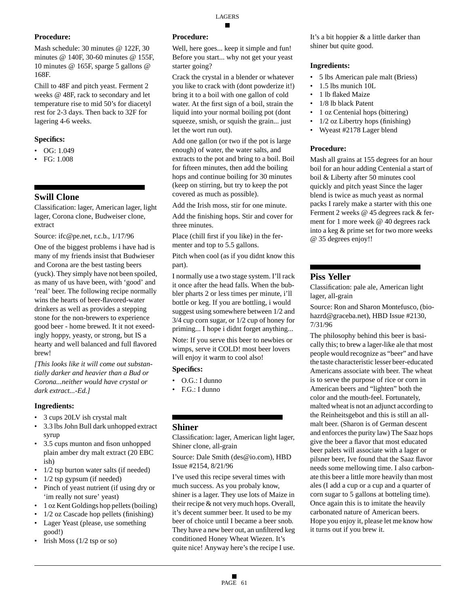Mash schedule: 30 minutes @ 122F, 30 minutes @ 140F, 30-60 minutes @ 155F, 10 minutes @ 165F, sparge 5 gallons @ 168F.

Chill to 48F and pitch yeast. Ferment 2 weeks @ 48F, rack to secondary and let temperature rise to mid 50's for diacetyl rest for 2-3 days. Then back to 32F for lagering 4-6 weeks.

# **Specifics:**

- $\bullet$  OG: 1.049
- FG: 1.008

# **Swill Clone**

Classification: lager, American lager, light lager, Corona clone, Budweiser clone, extract

Source: ifc@pe.net, r.c.b., 1/17/96

One of the biggest problems i have had is many of my friends insist that Budwieser and Corona are the best tasting beers (yuck). They simply have not been spoiled, as many of us have been, with 'good' and 'real' beer. The following recipe normally wins the hearts of beer-flavored-water drinkers as well as provides a stepping stone for the non-brewers to experience good beer - home brewed. It it not exeedingly hoppy, yeasty, or strong, but IS a hearty and well balanced and full flavored brew!

*[This looks like it will come out substantially darker and heavier than a Bud or Corona...neither would have crystal or dark extract...-Ed.]*

# **Ingredients:**

- 3 cups 20LV ish crystal malt
- 3.3 lbs John Bull dark unhopped extract syrup
- 3.5 cups munton and fison unhopped plain amber dry malt extract (20 EBC ish)
- 1/2 tsp burton water salts (if needed)
- $1/2$  tsp gypsum (if needed)
- Pinch of yeast nutrient (if using dry or 'im really not sure' yeast)
- 1 oz Kent Goldings hop pellets (boiling)
- 1/2 oz Cascade hop pellets (finishing)
- Lager Yeast (please, use something good!)
- Irish Moss (1/2 tsp or so)

# **Procedure:**

Well, here goes... keep it simple and fun! Before you start... why not get your yeast starter going?

Crack the crystal in a blender or whatever you like to crack with (dont powderize it!) bring it to a boil with one gallon of cold water. At the first sign of a boil, strain the liquid into your normal boiling pot (dont squeeze, smish, or squish the grain... just let the wort run out).

Add one gallon (or two if the pot is large enough) of water, the water salts, and extracts to the pot and bring to a boil. Boil for fifteen minutes, then add the boiling hops and continue boiling for 30 minutes (keep on stirring, but try to keep the pot covered as much as possible).

Add the Irish moss, stir for one minute.

Add the finishing hops. Stir and cover for three minutes.

Place (chill first if you like) in the fermenter and top to 5.5 gallons.

Pitch when cool (as if you didnt know this part).

I normally use a two stage system. I'll rack it once after the head falls. When the bubbler pharts 2 or less times per minute, i'll bottle or keg. If you are bottling, i would suggest using somewhere between 1/2 and 3/4 cup corn sugar, or 1/2 cup of honey for priming... I hope i didnt forget anything...

Note: If you serve this beer to newbies or wimps, serve it COLD! most beer lovers will enjoy it warm to cool also!

# **Specifics:**

- O.G.: I dunno
- F.G.: I dunno

# **Shiner**

Classification: lager, American light lager, Shiner clone, all-grain

Source: Dale Smith (des@io.com), HBD Issue #2154, 8/21/96

I've used this recipe several times with much success. As you probaly know, shiner is a lager. They use lots of Maize in their recipe & not very much hops. Overall, it's decent summer beer. It used to be my beer of choice until I became a beer snob. They have a new beer out, an unfiltered keg conditioned Honey Wheat Wiezen. It's quite nice! Anyway here's the recipe I use.

It's a bit hoppier & a little darker than shiner but quite good.

# **Ingredients:**

- 5 lbs American pale malt (Briess)
- 1.5 lbs munich 10L
- 1 lb flaked Maize
- 1/8 lb black Patent
- 1 oz Centenial hops (bittering)
- $1/2$  oz Libertry hops (finishing)
- Wyeast #2178 Lager blend

# **Procedure:**

Mash all grains at 155 degrees for an hour boil for an hour adding Centenial a start of boil & Liberty after 50 minutes cool quickly and pitch yeast Since the lager blend is twice as much yeast as normal packs I rarely make a starter with this one Ferment 2 weeks @ 45 degrees rack & ferment for 1 more week @ 40 degrees rack into a keg & prime set for two more weeks @ 35 degrees enjoy!!

# **Piss Yeller**

Classification: pale ale, American light lager, all-grain

Source: Ron and Sharon Montefusco, (biohazrd@graceba.net), HBD Issue #2130, 7/31/96

The philosophy behind this beer is basically this; to brew a lager-like ale that most people would recognize as "beer" and have the taste characteristic lesser beer-educated Americans associate with beer. The wheat is to serve the purpose of rice or corn in American beers and "lighten" both the color and the mouth-feel. Fortunately, malted wheat is not an adjunct according to the Reinheitsgebot and this is still an allmalt beer. (Sharon is of German descent and enforces the purity law) The Saaz hops give the beer a flavor that most educated beer palets will associate with a lager or pilsner beer, Ive found that the Saaz flavor needs some mellowing time. I also carbonate this beer a little more heavily than most ales (I add a cup or a cup and a quarter of corn sugar to 5 gallons at botteling time). Once again this is to imitate the heavily carbonated nature of American beers. Hope you enjoy it, please let me know how it turns out if you brew it.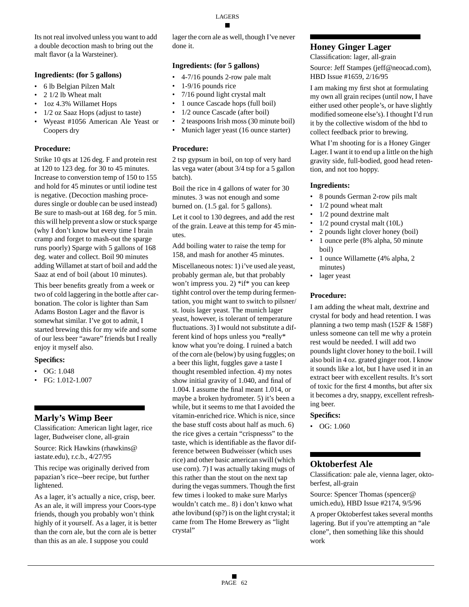Its not real involved unless you want to add a double decoction mash to bring out the malt flavor (a la Warsteiner).

#### **Ingredients: (for 5 gallons)**

- 6 lb Belgian Pilzen Malt
- 2 1/2 lb Wheat malt
- 1oz 4.3% Willamet Hops
- 1/2 oz Saaz Hops (adjust to taste)
- Wyeast #1056 American Ale Yeast or Coopers dry

## **Procedure:**

Strike 10 qts at 126 deg. F and protein rest at 120 to 123 deg. for 30 to 45 minutes. Increase to converstion temp of 150 to 155 and hold for 45 minutes or until iodine test is negative. (Decoction mashing procedures single or double can be used instead) Be sure to mash-out at 168 deg. for 5 min. this will help prevent a slow or stuck sparge (why I don't know but every time I brain cramp and forget to mash-out the sparge runs poorly) Sparge with 5 gallons of 168 deg. water and collect. Boil 90 minutes adding Willamet at start of boil and add the Saaz at end of boil (about 10 minutes).

This beer benefits greatly from a week or two of cold laggering in the bottle after carbonation. The color is lighter than Sam Adams Boston Lager and the flavor is somewhat similar. I've got to admit, I started brewing this for my wife and some of our less beer "aware" friends but I really enjoy it myself also.

# **Specifics:**

- $\bullet$  OG: 1.048
- FG: 1.012-1.007

# **Marly's Wimp Beer**

Classification: American light lager, rice lager, Budweiser clone, all-grain

Source: Rick Hawkins (rhawkins@ iastate.edu), r.c.b., 4/27/95

This recipe was originally derived from papazian's rice--beer recipe, but further lightened.

As a lager, it's actually a nice, crisp, beer. As an ale, it will impress your Coors-type friends, though you probably won't think highly of it yourself. As a lager, it is better than the corn ale, but the corn ale is better than this as an ale. I suppose you could

lager the corn ale as well, though I've never done it.

# **Ingredients: (for 5 gallons)**

- 4-7/16 pounds 2-row pale malt
- 1-9/16 pounds rice
- 7/16 pound light crystal malt
- 1 ounce Cascade hops (full boil)
- 1/2 ounce Cascade (after boil)
- 2 teaspoons Irish moss (30 minute boil)
- Munich lager yeast (16 ounce starter)

# **Procedure:**

2 tsp gypsum in boil, on top of very hard las vega water (about 3/4 tsp for a 5 gallon batch).

Boil the rice in 4 gallons of water for 30 minutes. 3 was not enough and some burned on. (1.5 gal. for 5 gallons).

Let it cool to 130 degrees, and add the rest of the grain. Leave at this temp for 45 minutes.

Add boiling water to raise the temp for 158, and mash for another 45 minutes.

Miscellaneous notes: 1) i've used ale yeast, probably german ale, but that probably won't impress you. 2) \*if\* you can keep tighht control over the temp during fermentation, you might want to switch to pilsner/ st. louis lager yeast. The munich lager yeast, however, is tolerant of temperature fluctuations. 3) I would not substitute a different kind of hops unless you \*really\* know what you're doing. I ruined a batch of the corn ale (below) by using fuggles; on a beer this light, fuggles gave a taste I thought resembled infection. 4) my notes show initial gravity of 1.040, and final of 1.004. I assume the final meant 1.014, or maybe a broken hydrometer. 5) it's been a while, but it seems to me that I avoided the vitamin-enriched rice. Which is nice, since the base stuff costs about half as much. 6) the rice gives a certain "crispnesss" to the taste, which is identifiable as the flavor difference between Budweisser (which uses rice) and other basic american swill (which use corn). 7) I was actually taking mugs of this rather than the stout on the next tap during the vegas summers. Though the first few times i looked to make sure Marlys wouldn't catch me.. 8) i don't knwo what athe lovibund (sp?) is on the light crystal; it came from The Home Brewery as "light crystal"

# **Honey Ginger Lager**

Classification: lager, all-grain

Source: Jeff Stampes (jeff@neocad.com), HBD Issue #1659, 2/16/95

I am making my first shot at formulating my own all grain recipes (until now, I have either used other people's, or have slightly modified someone else's). I thought I'd run it by the collective wisdom of the hbd to collect feedback prior to brewing.

What I'm shooting for is a Honey Ginger Lager. I want it to end up a little on the high gravity side, full-bodied, good head retention, and not too hoppy.

# **Ingredients:**

- 8 pounds German 2-row pils malt
- 1/2 pound wheat malt
- 1/2 pound dextrine malt
- 1/2 pound crystal malt (10L)
- 2 pounds light clover honey (boil)
- 1 ounce perle (8% alpha, 50 minute boil)
- 1 ounce Willamette (4% alpha, 2 minutes)
- lager yeast

# **Procedure:**

I am adding the wheat malt, dextrine and crystal for body and head retention. I was planning a two temp mash (152F & 158F) unless someone can tell me why a protein rest would be needed. I will add two pounds light clover honey to the boil. I will also boil in 4 oz. grated ginger root. I know it sounds like a lot, but I have used it in an extract beer with excellent results. It's sort of toxic for the first 4 months, but after six it becomes a dry, snappy, excellent refreshing beer.

# **Specifics:**

• OG: 1.060

# **Oktoberfest Ale**

Classification: pale ale, vienna lager, oktoberfest, all-grain

Source: Spencer Thomas (spencer@ umich.edu), HBD Issue #2174, 9/5/96

A proper Oktoberfest takes several months lagering. But if you're attempting an "ale clone", then something like this should work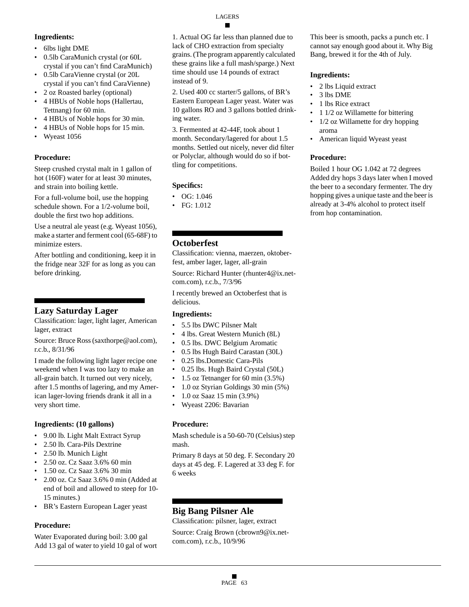# **Ingredients:**

- 6lbs light DME
- 0.5lb CaraMunich crystal (or 60L crystal if you can't find CaraMunich)
- 0.5lb CaraVienne crystal (or 20L crystal if you can't find CaraVienne)
- 2 oz Roasted barley (optional)
- 4 HBUs of Noble hops (Hallertau, Tettnang) for 60 min.
- 4 HBUs of Noble hops for 30 min.
- 4 HBUs of Noble hops for 15 min.
- Wyeast 1056

# **Procedure:**

Steep crushed crystal malt in 1 gallon of hot (160F) water for at least 30 minutes, and strain into boiling kettle.

For a full-volume boil, use the hopping schedule shown. For a 1/2-volume boil, double the first two hop additions.

Use a neutral ale yeast (e.g. Wyeast 1056), make a starter and ferment cool (65-68F) to minimize esters.

After bottling and conditioning, keep it in the fridge near 32F for as long as you can before drinking.

# **Lazy Saturday Lager**

Classification: lager, light lager, American lager, extract

Source: Bruce Ross (saxthorpe@aol.com), r.c.b., 8/31/96

I made the following light lager recipe one weekend when I was too lazy to make an all-grain batch. It turned out very nicely, after 1.5 months of lagering, and my American lager-loving friends drank it all in a very short time.

# **Ingredients: (10 gallons)**

- 9.00 lb. Light Malt Extract Syrup
- 2.50 lb. Cara-Pils Dextrine
- 2.50 lb. Munich Light
- 2.50 oz. Cz Saaz 3.6% 60 min
- 1.50 oz. Cz Saaz 3.6% 30 min
- 2.00 oz. Cz Saaz 3.6% 0 min (Added at end of boil and allowed to steep for 10- 15 minutes.)
- BR's Eastern European Lager yeast

# **Procedure:**

Water Evaporated during boil: 3.00 gal Add 13 gal of water to yield 10 gal of wort

1. Actual OG far less than planned due to lack of CHO extraction from specialty grains. (The program apparently calculated these grains like a full mash/sparge.) Next time should use 14 pounds of extract instead of 9.

2. Used 400 cc starter/5 gallons, of BR's Eastern European Lager yeast. Water was 10 gallons RO and 3 gallons bottled drinking water.

3. Fermented at 42-44F, took about 1 month. Secondary/lagered for about 1.5 months. Settled out nicely, never did filter or Polyclar, although would do so if bottling for competitions.

# **Specifics:**

- OG: 1.046
- FG: 1.012

# **Octoberfest**

Classification: vienna, maerzen, oktoberfest, amber lager, lager, all-grain

Source: Richard Hunter (rhunter4@ix.netcom.com), r.c.b., 7/3/96

I recently brewed an Octoberfest that is delicious.

# **Ingredients:**

- 5.5 lbs DWC Pilsner Malt
- 4 lbs. Great Western Munich (8L)
- 0.5 lbs. DWC Belgium Aromatic
- 0.5 lbs Hugh Baird Carastan (30L)
- 0.25 lbs.Domestic Cara-Pils
- 0.25 lbs. Hugh Baird Crystal (50L)
- 1.5 oz Tetnanger for 60 min (3.5%)
- 1.0 oz Styrian Goldings 30 min (5%)
- 1.0 oz Saaz 15 min (3.9%)
- Wyeast 2206: Bavarian

#### **Procedure:**

Mash schedule is a 50-60-70 (Celsius) step mash.

Primary 8 days at 50 deg. F. Secondary 20 days at 45 deg. F. Lagered at 33 deg F. for 6 weeks

# **Big Bang Pilsner Ale**

Classification: pilsner, lager, extract Source: Craig Brown (cbrown9@ix.netcom.com), r.c.b., 10/9/96

This beer is smooth, packs a punch etc. I cannot say enough good about it. Why Big Bang, brewed it for the 4th of July.

## **Ingredients:**

- 2 lbs Liquid extract
- 3 lbs DME
- 1 lbs Rice extract
- 1 1/2 oz Willamette for bittering
- 1/2 oz Willamette for dry hopping aroma
- American liquid Wyeast yeast

## **Procedure:**

Boiled 1 hour OG 1.042 at 72 degrees Added dry hops 3 days later when I moved the beer to a secondary fermenter. The dry hopping gives a unique taste and the beer is already at 3-4% alcohol to protect itself from hop contamination.